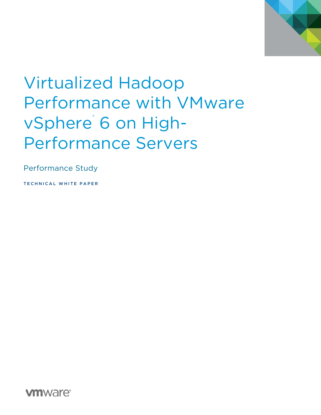

# Virtualized Hadoop Performance with VMware vSphere<sup>®</sup> 6 on High-Performance Servers

Performance Study

TECHNICAL WHITE PAPER

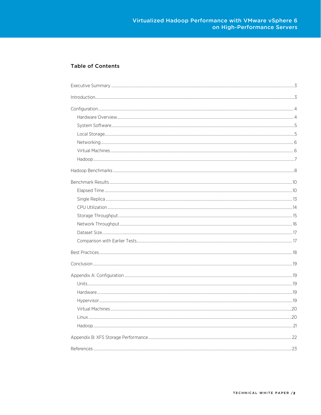### **Table of Contents**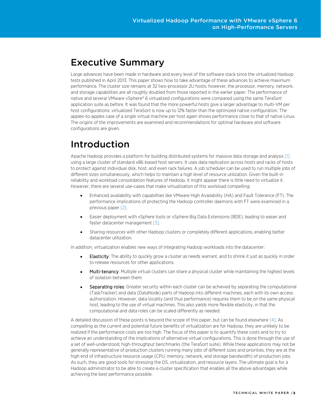# <span id="page-2-0"></span>Executive Summary

Large advances have been made in hardware and every level of the software stack since the virtualized Hadoop tests published in April 2013. This paper shows how to take advantage of these advances to achieve maximum performance. The cluster size remains at 32 two-processor 2U hosts; however, the processor, memory, network, and storage capabilities are all roughly doubled from those reported in the earlier paper. The performance of native and several VMware vSphere® 6 virtualized configurations were compared using the same TeraSort application suite as before. It was found that the more powerful hosts give a larger advantage to multi-VM per host configurations: virtualized TeraSort is now up to 12% faster than the optimized native configuration. The apples-to-apples case of a single virtual machine per host again shows performance close to that of native Linux. The origins of the improvements are examined and recommendations for optimal hardware and software configurations are given.

# <span id="page-2-1"></span>Introduction

Apache Hadoop provides a platform for building distributed systems for massive data storage and analysi[s \[1\]](#page-22-0) using a large cluster of standard x86-based host servers. It uses data replication across hosts and racks of hosts to protect against individual disk, host, and even rack failures. A job scheduler can be used to run multiple jobs of different sizes simultaneously, which helps to maintain a high level of resource utilization. Given the built-in reliability and workload consolidation features of Hadoop, it might appear there is little need to virtualize it. However, there are several use-cases that make virtualization of this workload compelling:

- Enhanced availability with capabilities like VMware High Availability (HA) and Fault Tolerance (FT). The performance implications of protecting the Hadoop controller daemons with FT were examined in a previous paper [\[2\].](#page-22-0)
- Easier deployment with vSphere tools or vSphere Big Data Extensions (BDE), leading to easier and faster datacenter management [\[3\].](#page-22-0)
- Sharing resources with other Hadoop clusters or completely different applications, enabling better datacenter utilization.

In addition, virtualization enables new ways of integrating Hadoop workloads into the datacenter:

- **Elasticity**: The ability to quickly grow a cluster as needs warrant, and to shrink it just as quickly in order to release resources for other applications.
- Multi-tenancy: Multiple virtual clusters can share a physical cluster while maintaining the highest levels of isolation between them.
- Separating roles: Greater security within each cluster can be achieved by separating the computational (TaskTracker) and data (DataNode) parts of Hadoop into different machines, each with its own access authorization. However, data locality (and thus performance) requires them to be on the same physical host, leading to the use of virtual machines. This also yields more flexible elasticity, in that the computational and data roles can be scaled differently as needed.

A detailed discussion of these points is beyond the scope of this paper, but can be found elsewher[e \[4\].](#page-22-0) As compelling as the current and potential future benefits of virtualization are for Hadoop, they are unlikely to be realized if the performance costs are too high. The focus of this paper is to quantify these costs and to try to achieve an understanding of the implications of alternative virtual configurations. This is done through the use of a set of well-understood, high-throughput benchmarks (the TeraSort suite). While these applications may not be generally representative of production clusters running many jobs of different sizes and priorities, they are at the high end of infrastructure resource usage (CPU, memory, network, and storage bandwidth) of production jobs. As such, they are good tools for stressing the OS, virtualization, and resource layers. The ultimate goal is for a Hadoop administrator to be able to create a cluster specification that enables all the above advantages while achieving the best performance possible.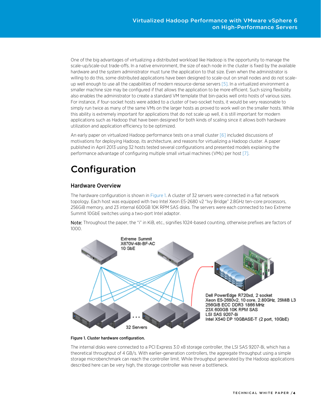One of the big advantages of virtualizing a distributed workload like Hadoop is the opportunity to manage the scale-up/scale-out trade-offs. In a native environment, the size of each node in the cluster is fixed by the available hardware and the system administrator must tune the application to that size. Even when the administrator is willing to do this, some distributed applications have been designed to scale-out on small nodes and do not scaleup well enough to use all the capabilities of modern resource-dense server[s \[5\].](#page-22-0) In a virtualized environment a smaller machine size may be configured if that allows the application to be more efficient. Such sizing flexibility also enables the administrator to create a standard VM template that bin-packs well onto hosts of various sizes. For instance, if four-socket hosts were added to a cluster of two-socket hosts, it would be very reasonable to simply run twice as many of the same VMs on the larger hosts as proved to work well on the smaller hosts. While this ability is extremely important for applications that do not scale up well, it is still important for modern applications such as Hadoop that have been designed for both kinds of scaling since it allows both hardware utilization and application efficiency to be optimized.

An early paper on virtualized Hadoop performance tests on a small cluste[r \[6\]](#page-22-0) included discussions of motivations for deploying Hadoop, its architecture, and reasons for virtualizing a Hadoop cluster. A paper published in April 2013 using 32 hosts tested several configurations and presented models explaining the performance advantage of configuring multiple small virtual machines (VMs) per hos[t \[7\].](#page-22-0) 

# <span id="page-3-0"></span>Configuration

## <span id="page-3-1"></span>Hardware Overview

The hardware configuration is shown in [Figure 1.](#page-3-2) A cluster of 32 servers were connected in a flat network topology. Each host was equipped with two Intel Xeon E5-2680 v2 "Ivy Bridge" 2.8GHz ten-core processors, 256GiB memory, and 23 internal 600GB 10K RPM SAS disks. The servers were each connected to two Extreme Summit 10GbE switches using a two-port Intel adaptor.

Note: Throughout the paper, the "i" in KiB, etc., signifies 1024-based counting, otherwise prefixes are factors of 1000.



<span id="page-3-2"></span>Figure 1. Cluster hardware configuration.

The internal disks were connected to a PCI Express 3.0 x8 storage controller, the LSI SAS 9207-8i, which has a theoretical throughput of 4 GB/s. With earlier-generation controllers, the aggregate throughput using a simple storage microbenchmark can reach the controller limit. While throughput generated by the Hadoop applications described here can be very high, the storage controller was never a bottleneck.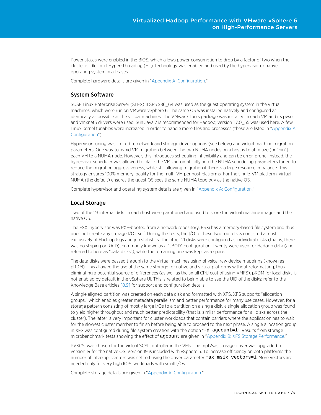Power states were enabled in the BIOS, which allows power consumption to drop by a factor of two when the cluster is idle. Intel Hyper-Threading (HT) Technology was enabled and used by the hypervisor or native operating system in all cases.

Complete hardware details are given in "Appendix [A: Configuration."](#page-18-2)

#### <span id="page-4-0"></span>System Software

SUSE Linux Enterprise Server (SLES) 11 SP3 x86\_64 was used as the guest operating system in the virtual machines, which were run on VMware vSphere 6. The same OS was installed natively and configured as identically as possible as the virtual machines. The VMware Tools package was installed in each VM and its pvscsi and vmxnet3 drivers were used. Sun Java 7 is recommended for Hadoop; version 1.7.0\_55 was used here. A few Linux kernel tunables were increased in order to handle more files and processes (these are listed in ["Appendix A:](#page-18-1)  [Configuration"](#page-18-1)).

Hypervisor tuning was limited to network and storage driver options (see below) and virtual machine migration parameters. One way to avoid VM migration between the two NUMA nodes on a host is to affinitize (or "pin") each VM to a NUMA node. However, this introduces scheduling inflexibility and can be error-prone. Instead, the hypervisor scheduler was allowed to place the VMs automatically and the NUMA scheduling parameters tuned to reduce the migration aggressiveness, while still allowing migration if there is a large resource imbalance. This strategy ensures 100% memory locality for the multi-VM per host platforms. For the single-VM platform, virtual NUMA (the default) ensures the guest OS sees the same NUMA topology as the native OS.

Complete hypervisor and operating system details are given in ["Appendix A: Configuration."](#page-18-1)

### <span id="page-4-1"></span>Local Storage

Two of the 23 internal disks in each host were partitioned and used to store the virtual machine images and the native OS.

The ESXi hypervisor was PXE-booted from a network repository. ESXi has a memory-based file system and thus does not create any storage I/O itself. During the tests, the I/O to these two root disks consisted almost exclusively of Hadoop logs and job statistics. The other 21 disks were configured as individual disks (that is, there was no striping or RAID), commonly known as a "JBOD" configuration. Twenty were used for Hadoop data (and referred to here as "data disks"), while the remaining one was kept as a spare.

The data disks were passed through to the virtual machines using physical raw device mappings (known as pRDM). This allowed the use of the same storage for native and virtual platforms without reformatting, thus eliminating a potential source of differences (as well as the small CPU cost of using VMFS). pRDM for local disks is not enabled by default in the vSphere UI. This is related to being able to see the UID of the disks; refer to the Knowledge Base articles [\[8,9\]](#page-22-0) for support and configuration details.

A single aligned partition was created on each data disk and formatted with XFS. XFS supports "allocation groups," which enables greater metadata parallelism and better performance for many use cases. However, for a storage pattern consisting of mostly large I/Os to a partition on a single disk, a single allocation group was found to yield higher throughput and much better predictability (that is, similar performance for all disks across the cluster). The latter is very important for cluster workloads that contain barriers where the application has to wait for the slowest cluster member to finish before being able to proceed to the next phase. A single allocation group in XFS was configured during file system creation with the option "-d agcount=1". Results from storage microbenchmark tests showing the effect of agcount are given in ["Appendix B: XFS Storage Performance."](#page-21-0)

PVSCSI was chosen for the virtual SCSI controller in the VMs. The mpt2sas storage driver was upgraded to version 19 for the native OS. Version 19 is included with vSphere 6. To increase efficiency on both platforms the number of interrupt vectors was set to 1 using the driver parameter  $max\_msix\_vectors=1$ . More vectors are needed only for very high IOPs workloads with small I/Os.

Complete storage details are given in ["Appendix A: Configuration."](#page-18-1)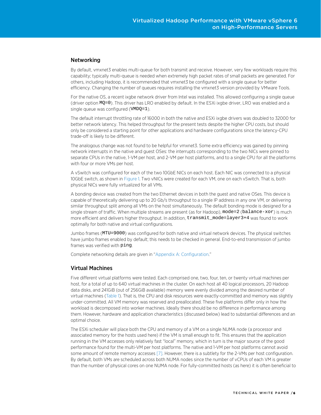#### <span id="page-5-0"></span>Networking

By default, vmxnet3 enables multi-queue for both transmit and receive. However, very few workloads require this capability; typically multi-queue is needed when extremely high packet rates of small packets are generated. For others, including Hadoop, it is recommended that vmxnet3 be configured with a single queue for better efficiency. Changing the number of queues requires installing the vmxnet3 version provided by VMware Tools.

For the native OS, a recent ixgbe network driver from Intel was installed. This allowed configuring a single queue (driver option MQ=0). This driver has LRO enabled by default. In the ESXi ixgbe driver, LRO was enabled and a single queue was configured (VMDQ=1).

The default interrupt throttling rate of 16000 in both the native and ESXi ixgbe drivers was doubled to 32000 for better network latency. This helped throughput for the present tests despite the higher CPU costs, but should only be considered a starting point for other applications and hardware configurations since the latency-CPU trade-off is likely to be different.

The analogous change was not found to be helpful for vmxnet3. Some extra efficiency was gained by pinning network interrupts in the native and guest OSes: the interrupts corresponding to the two NICs were pinned to separate CPUs in the native, 1-VM per host, and 2-VM per host platforms, and to a single CPU for all the platforms with four or more VMs per host.

A vSwitch was configured for each of the two 10GbE NICs on each host. Each NIC was connected to a physical 10GbE switch, as shown i[n Figure 1.](#page-3-2) Two vNICs were created for each VM, one on each vSwitch. That is, both physical NICs were fully virtualized for all VMs.

A bonding device was created from the two Ethernet devices in both the guest and native OSes. This device is capable of theoretically delivering up to 20 Gb/s throughput to a single IP address in any one VM, or delivering similar throughput split among all VMs on the host simultaneously. The default bonding mode is designed for a single stream of traffic. When multiple streams are present (as for Hadoop), mode=2 (balance-xor) is much more efficient and delivers higher throughput. In addition, transmit\_mode=layer3+4 was found to work optimally for both native and virtual configurations.

Jumbo frames (MTU=9000) was configured for both native and virtual network devices. The physical switches have jumbo frames enabled by default; this needs to be checked in general. End-to-end transmission of jumbo frames was verified with ping.

Complete networking details are given in ["Appendix A: Configuration."](#page-18-1)

#### <span id="page-5-1"></span>Virtual Machines

Five different virtual platforms were tested. Each comprised one, two, four, ten, or twenty virtual machines per host, for a total of up to 640 virtual machines in the cluster. On each host all 40 logical processors, 20 Hadoop data disks, and 241GiB (out of 256GiB available) memory were evenly divided among the desired number of virtual machines [\(Table 1\)](#page-8-0). That is, the CPU and disk resources were exactly-committed and memory was slightly under-committed. All VM memory was reserved and preallocated. These five platforms differ only in how the workload is decomposed into worker machines. Ideally there should be no difference in performance among them. However, hardware and application characteristics (discussed below) lead to substantial differences and an optimal choice.

The ESXi scheduler will place both the CPU and memory of a VM on a single NUMA node (a processor and associated memory for the hosts used here) if the VM is small enough to fit. This ensures that the application running in the VM accesses only relatively fast "local" memory, which in turn is the major source of the good performance found for the multi-VM per host platforms. The native and 1-VM per host platforms cannot avoid some amount of remote memory accesses [\[7\].](#page-22-0) However, there is a subtlety for the 2-VMs per host configuration. By default, both VMs are scheduled across both NUMA nodes since the number of vCPUs of each VM is greater than the number of physical cores on one NUMA node. For fully-committed hosts (as here) it is often beneficial to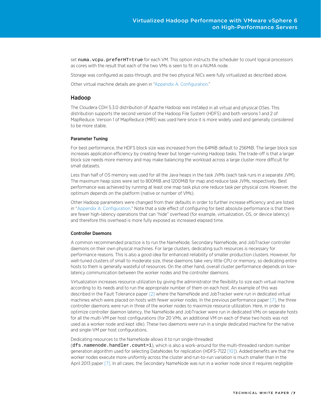set numa.vcpu.preferHT=true for each VM. This option instructs the scheduler to count logical processors as cores with the result that each of the two VMs is seen to fit on a NUMA node.

Storage was configured as pass-through, and the two physical NICs were fully virtualized as described above.

Other virtual machine details are given in ["Appendix A: Configuration."](#page-18-1)

#### <span id="page-6-0"></span>Hadoop

The Cloudera CDH 5.3.0 distribution of Apache Hadoop was installed in all virtual and physical OSes. This distribution supports the second version of the Hadoop File System (HDFS) and both versions 1 and 2 of MapReduce. Version 1 of MapReduce (MR1) was used here since it is more widely used and generally considered to be more stable.

#### Parameter Tuning

For best performance, the HDFS block size was increased from the 64MiB default to 256MiB. The larger block size increases application efficiency by creating fewer but longer-running Hadoop tasks. The trade-off is that a larger block size needs more memory and may make balancing the workload across a large cluster more difficult for small datasets.

Less than half of OS memory was used for all the Java heaps in the task JVMs (each task runs in a separate JVM). The maximum heap sizes were set to 800MiB and 1200MiB for map and reduce task JVMs, respectively. Best performance was achieved by running at least one map task plus one reduce task per physical core. However, the optimum depends on the platform (native or number of VMs).

Other Hadoop parameters were changed from their defaults in order to further increase efficiency and are listed in ["Appendix A: Configuration."](#page-18-1) Note that a side effect of configuring for best absolute performance is that there are fewer high-latency operations that can "hide" overhead (for example, virtualization, OS, or device latency) and therefore this overhead is more fully exposed as increased elapsed time.

#### Controller Daemons

A common recommended practice is to run the NameNode, Secondary NameNode, and JobTracker controller daemons on their own physical machines. For large clusters, dedicating such resources is necessary for performance reasons. This is also a good idea for enhanced reliability of smaller production clusters. However, for well-tuned clusters of small to moderate size, these daemons take very little CPU or memory, so dedicating entire hosts to them is generally wasteful of resources. On the other hand, overall cluster performance depends on lowlatency communication between the worker nodes and the controller daemons.

Virtualization increases resource utilization by giving the administrator the flexibility to size each virtual machine according to its needs and to run the appropriate number of them on each host. An example of this was described in the Fault Tolerance paper [\[2\]](#page-22-0) where the NameNode and JobTracker were run in dedicated virtual machines which were placed on hosts with fewer worker nodes. In the previous performance paper [\[7\],](#page-22-0) the three controller daemons were run in three of the worker nodes to maximize resource utilization. Here, in order to optimize controller daemon latency, the NameNode and JobTracker were run in dedicated VMs on separate hosts for all the multi-VM per host configurations (for 20 VMs, an additional VM on each of these two hosts was not used as a worker node and kept idle). These two daemons were run in a single dedicated machine for the native and single-VM per host configurations.

#### Dedicating resources to the NameNode allows it to run single-threaded

(dfs.namenode.handler.count=1), which is also a work-around for the multi-threaded random number generation algorithm used for selecting DataNodes for replication (HDFS-7122 [\[10\]\).](#page-22-0) Added benefits are that the worker nodes execute more uniformly across the cluster and run-to-run variation is much smaller than in the April 2013 paper [\[7\].](#page-22-0) In all cases, the Secondary NameNode was run in a worker node since it requires negligible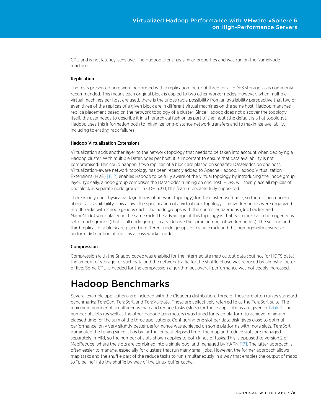CPU and is not latency-sensitive. The Hadoop client has similar properties and was run on the NameNode machine.

#### Replication

The tests presented here were performed with a replication factor of three for all HDFS storage, as is commonly recommended. This means each original block is copied to two other worker nodes. However, when multiple virtual machines per host are used, there is the undesirable possibility from an availability perspective that two or even three of the replicas of a given block are in different virtual machines on the same host. Hadoop manages replica placement based on the network topology of a cluster. Since Hadoop does not discover the topology itself, the user needs to describe it in a hierarchical fashion as part of the input (the default is a flat topology). Hadoop uses this information both to minimize long-distance network transfers and to maximize availability, including tolerating rack failures.

#### Hadoop Virtualization Extensions

Virtualization adds another layer to the network topology that needs to be taken into account when deploying a Hadoop cluster. With multiple DataNodes per host, it is important to ensure that data availability is not compromised. This could happen if two replicas of a block are placed on separate DataNodes on one host. Virtualization-aware network topology has been recently added to Apache Hadoop. Hadoop Virtualization Extensions (HVE) [\[11,12\]](#page-22-0) enables Hadoop to be fully aware of the virtual topology by introducing the "node group" layer. Typically, a node group comprises the DataNodes running on one host. HDFS will then place all replicas of one block in separate node groups. In CDH 5.3.0, this feature became fully supported.

There is only one physical rack (in terms of network topology) for the cluster used here, so there is no concern about rack availability. This allows the specification of a virtual rack topology. The worker nodes were organized into 16 racks with 2 node groups each. The node groups with the controller daemons (JobTracker and NameNode) were placed in the same rack. The advantage of this topology is that each rack has a homogeneous set of node groups (that is, all node groups in a rack have the same number of worker nodes). The second and third replicas of a block are placed in different node groups of a single rack and this homogeneity ensures a uniform distribution of replicas across worker nodes.

#### Compression

Compression with the Snappy codec was enabled for the intermediate map output data (but not for HDFS data); the amount of storage for such data and the network traffic for the shuffle phase was reduced by almost a factor of five. Some CPU is needed for the compression algorithm but overall performance was noticeably increased.

# <span id="page-7-0"></span>Hadoop Benchmarks

Several example applications are included with the Cloudera distribution. Three of these are often run as standard benchmarks: TeraGen, TeraSort, and TeraValidate. These are collectively referred to as the TeraSort suite. The maximum number of simultaneous map and reduce tasks (slots) for these applications are given in [Table 1.](#page-8-0) The number of slots (as well as the other Hadoop parameters) was tuned for each platform to achieve minimum elapsed time for the sum of the three applications. Configuring one slot per data disk gives close to optimal performance; only very slightly better performance was achieved on some platforms with more slots. TeraSort dominated the tuning since it has by far the longest elapsed time. The map and reduce slots are managed separately in MR1, so the number of slots shown applies to both kinds of tasks. This is opposed to version 2 of MapReduce, where the slots are combined into a single pool and managed by YARN [\[17\].](#page-22-0) The latter approach is often easier to manage, especially for clusters that run many small jobs. However, the former approach allows map tasks and the shuffle part of the reduce tasks to run simultaneously in a way that enables the output of maps to "pipeline" into the shuffle by way of the Linux buffer cache.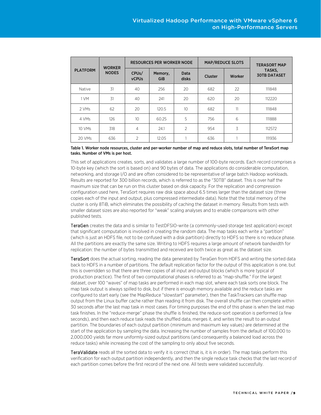| <b>PLATFORM</b> | <b>WORKER</b><br><b>NODES</b> | <b>RESOURCES PER WORKER NODE</b>   |                |                          | <b>MAP/REDUCE SLOTS</b> |        | <b>TERASORT MAP</b>           |
|-----------------|-------------------------------|------------------------------------|----------------|--------------------------|-------------------------|--------|-------------------------------|
|                 |                               | CPU <sub>s</sub> /<br><b>vCPUs</b> | Memory,<br>GiB | <b>Data</b><br>disks     | Cluster                 | Worker | TASKS,<br><b>30TB DATASET</b> |
| Native          | 31                            | 40                                 | 256            | 20                       | 682                     | 22     | 111848                        |
| 1 VM            | 31                            | 40                                 | 241            | 20                       | 620                     | 20     | 112220                        |
| 2 VMs           | 62                            | 20                                 | 120.5          | 10 <sup>2</sup>          | 682                     | 11     | 111848                        |
| 4 VMs           | 126                           | 10                                 | 60.25          | 5                        | 756                     | 6      | 111888                        |
| 10 VMs          | 318                           | 4                                  | 24.1           | $\overline{\phantom{a}}$ | 954                     | 3      | 112572                        |
| 20 VMs          | 636                           | $\overline{\phantom{a}}$           | 12.05          |                          | 636                     |        | 111936                        |

#### <span id="page-8-0"></span>Table 1. Worker node resources, cluster and per-worker number of map and reduce slots, total number of TeraSort map tasks. Number of VMs is per host.

This set of applications creates, sorts, and validates a large number of 100-byte records. Each record comprises a 10-byte key (which the sort is based on) and 90 bytes of data. The applications do considerable computation, networking, and storage I/O and are often considered to be representative of large batch Hadoop workloads. Results are reported for 300 billion records, which is referred to as the "30TB" dataset. This is over half the maximum size that can be run on this cluster based on disk capacity. For the replication and compression configuration used here, TeraSort requires raw disk space about 6.5 times larger than the dataset size (three copies each of the input and output, plus compressed intermediate data). Note that the total memory of the cluster is only 8TiB, which eliminates the possibility of caching the dataset in memory. Results from tests with smaller dataset sizes are also reported for "weak" scaling analyses and to enable comparisons with other published tests.

TeraGen creates the data and is similar to TestDFSIO-write (a commonly-used storage test application) except that significant computation is involved in creating the random data. The map tasks each write a "partition" (which is just an HDFS file, not to be confused with a disk partition) directly to HDFS so there is no reduce phase. All the partitions are exactly the same size. Writing to HDFS requires a large amount of network bandwidth for replication: the number of bytes transmitted and received are both twice as great as the dataset size.

TeraSort does the actual sorting, reading the data generated by TeraGen from HDFS and writing the sorted data back to HDFS in a number of partitions. The default replication factor for the output of this application is one, but this is overridden so that there are three copies of all input and output blocks (which is more typical of production practice). The first of two computational phases is referred to as "map-shuffle." For the largest dataset, over 100 "waves" of map tasks are performed in each map slot, where each task sorts one block. The map task output is always spilled to disk, but if there is enough memory available and the reduce tasks are configured to start early (see the MapReduce "slowstart" parameter), then the TaskTrackers can shuffle map output from the Linux buffer cache rather than reading it from disk. The overall shuffle can then complete within 30 seconds after the last map task in most cases. For timing purposes the end of this phase is when the last map task finishes. In the "reduce-merge" phase the shuffle is finished, the reduce-sort operation is performed (a few seconds), and then each reduce task reads the shuffled data, merges it, and writes the result to an output partition. The boundaries of each output partition (minimum and maximum key values) are determined at the start of the application by sampling the data. Increasing the number of samples from the default of 100,000 to 2,000,000 yields far more uniformly-sized output partitions (and consequently a balanced load across the reduce tasks) while increasing the cost of the sampling to only about five seconds.

TeraValidate reads all the sorted data to verify it is correct (that is, it is in order). The map tasks perform this verification for each output partition independently, and then the single reduce task checks that the last record of each partition comes before the first record of the next one. All tests were validated successfully.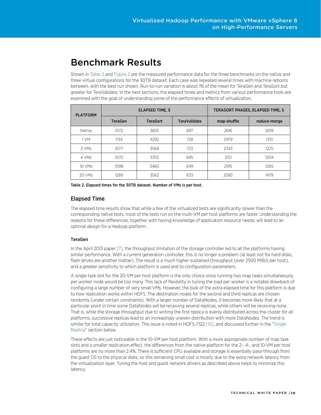# <span id="page-9-0"></span>Benchmark Results

Shown in [Table 2](#page-9-2) an[d Figure 2](#page-10-0) are the measured performance data for the three benchmarks on the native and three virtual configurations for the 30TB dataset. Each case was repeated several times with machine reboots between, with the best run shown. Run-to-run variation is about 1% of the mean for TeraGen and TeraSort but greater for TeraValidate. In the next sections, the elapsed times and metrics from various performance tools are examined with the goal of understanding some of the performance effects of virtualization.

| <b>PLATFORM</b> |                | <b>ELAPSED TIME, S</b> | TERASORT PHASES, ELAPSED TIME, S |             |              |
|-----------------|----------------|------------------------|----------------------------------|-------------|--------------|
|                 | <b>TeraGen</b> | <b>TeraSort</b>        | <b>TeraValidate</b>              | map-shuffle | reduce-merge |
| <b>Native</b>   | 1072           | 3825                   | 697                              | 2616        | 1209         |
| 1 VM            | 1134           | 4292                   | 728                              | 2979        | 1313         |
| 2 VMs           | 1077           | 3568                   | 723                              | 2343        | 1225         |
| 4 VMs           | 1072           | 3355                   | 695                              | 2151        | 1204         |
| 10 VMs          | 1098           | 3460                   | 649                              | 2195        | 1265         |
| 20 VMs          | 1289           | 3562                   | 633                              | 2083        | 1479         |

<span id="page-9-2"></span>Table 2. Elapsed times for the 30TB dataset. Number of VMs is per host.

### <span id="page-9-1"></span>Elapsed Time

The elapsed time results show that while a few of the virtualized tests are significantly slower than the corresponding native tests, most of the tests run on the multi-VM per host platforms are faster. Understanding the reasons for these differences, together with having knowledge of application resource needs, will lead to an optimal design for a Hadoop platform.

#### TeraGen

In the April 2013 paper [\[7\],](#page-22-0) the throughput limitation of the storage controller led to all the platforms having similar performance. With a current generation controller, this is no longer a problem (at least not for hard disks, flash drives are another matter). The result is a much higher sustained throughput (over 2500 MiB/s per host), and a greater sensitivity to which platform is used and to configuration parameters.

A single task slot for the 20-VM per host platform is the only choice since running two map tasks simultaneously per worker node would be too many. This lack of flexibility in tuning the load per worker is a notable drawback of configuring a large number of very small VMs. However, the bulk of the extra elapsed time for this platform is due to how replication works within HDFS. The destination nodes for the second and third replicas are chosen randomly (under certain constraints). With a larger number of DataNodes, it becomes more likely that at a particular point in time some DataNodes will be receiving several replicas, while others will be receiving none. That is, while the storage throughput due to writing the first replica is evenly distributed across the cluster for all platforms, successive replicas lead to an increasingly uneven distribution with more DataNodes. The trend is similar for total capacity utilization. This issue is noted in HDFS-7122 [\[10\],](#page-22-0) and discussed further in the ["Single](#page-12-0)  [Replica"](#page-12-0) section below.

These effects are just noticeable in the 10-VM per host platform. With a more appropriate number of map task slots and a smaller replication effect, the differences from the native platform for the 2-, 4-, and 10-VM per host platforms are no more than 2.4%. There is sufficient CPU available and storage is essentially pass-through from the guest OS to the physical disks, so this remaining small cost is mostly due to the extra network latency from the virtualization layer. Tuning the host and guest network drivers as described above helps to minimize this latency.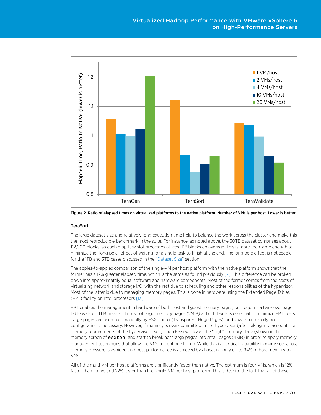

<span id="page-10-0"></span>Figure 2. Ratio of elapsed times on virtualized platforms to the native platform. Number of VMs is per host. Lower is better.

#### **TeraSort**

The large dataset size and relatively long execution time help to balance the work across the cluster and make this the most reproducible benchmark in the suite. For instance, as noted above, the 30TB dataset comprises about 112,000 blocks, so each map task slot processes at least 118 blocks on average. This is more than large enough to minimize the "long pole" effect of waiting for a single task to finish at the end. The long pole effect is noticeable for the 1TB and 3TB cases discussed in the ["Dataset Size"](#page-16-0) section.

The apples-to-apples comparison of the single-VM per host platform with the native platform shows that the former has a 12% greater elapsed time, which is the same as found previousl[y \[7\].](#page-22-0) This difference can be broken down into approximately equal software and hardware components. Most of the former comes from the costs of virtualizing network and storage I/O, with the rest due to scheduling and other responsibilities of the hypervisor. Most of the latter is due to managing memory pages. This is done in hardware using the Extended Page Tables (EPT) facility on Intel processor[s \[13\].](#page-22-0) 

EPT enables the management in hardware of both host and guest memory pages, but requires a two-level page table walk on TLB misses. The use of large memory pages (2MiB) at both levels is essential to minimize EPT costs. Large pages are used automatically by ESXi, Linux (Transparent Huge Pages), and Java, so normally no configuration is necessary. However, if memory is over-committed in the hypervisor (after taking into account the memory requirements of the hypervisor itself), then ESXi will leave the "high" memory state (shown in the memory screen of esxtop) and start to break host large pages into small pages (4KiB) in order to apply memory management techniques that allow the VMs to continue to run. While this is a critical capability in many scenarios, memory pressure is avoided and best performance is achieved by allocating only up to 94% of host memory to VMs.

All of the multi-VM per host platforms are significantly faster than native. The optimum is four VMs, which is 12% faster than native and 22% faster than the single-VM per host platform. This is despite the fact that all of these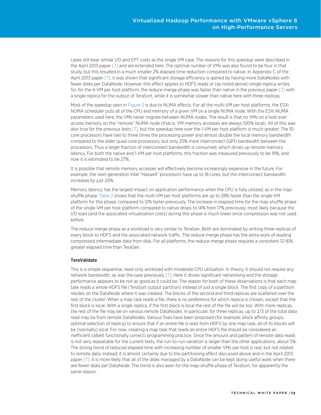cases still bear similar I/O and EPT costs as the single VM case. The reasons for this speedup were described in the April 2013 paper [\[7\]](#page-22-0) and are extended here. The optimal number of VMs was also found to be four in that study, but this resulted in a much smaller 2% elapsed time reduction compared to native. In Appendix C of the April 2013 pape[r \[7\],](#page-22-0) it was shown that significant storage efficiency is gained by having more DataNodes with fewer disks per DataNode. However, this effect applies to HDFS reads or (as noted above) single-replica writes. So, for the 4-VM per host platform, the reduce-merge phase was faster than native in the previous pape[r \[7\]](#page-22-0) with a single replica for the output of TeraSort, while it is somewhat slower than native here with three replicas.

Most of the speedup seen in [Figure 2](#page-10-0) is due to NUMA effects. For all the multi-VM per host platforms, the ESXi NUMA scheduler puts all of the CPU and memory of a given VM on a single NUMA node. With the ESXi NUMA parameters used here, the VMs never migrate between NUMA nodes. The result is that no VMs on a host ever access memory on the "remote" NUMA node (that is, VM memory accesses are always 100% local). All of this was also true for the previous test[s \[7\],](#page-22-0) but the speedup here over the 1-VM per host platform is much greater. The 10 core processors have two to three times the processing power and almost double the local memory bandwidth compared to the older quad-core processors, but only 25% more interconnect (QPI) bandwidth between the processors. Thus a larger fraction of interconnect bandwidth is consumed, which drives up remote memory latency. For both the native and 1-VM per host platforms, this fraction was measured previously to be 19%, and now it is estimated to be 27%.

It is possible that remote memory accesses will effectively become increasingly expensive in the future. For example, the next-generation Intel "Haswell" processors have up to 18 cores, but the interconnect bandwidth increases by just 20%.

Memory latency has the largest impact on application performance when the CPU is fully utilized, as in the mapshuffle phase[. Table 2](#page-9-2) shows that the multi-VM per host platforms are up to 28% faster than the single-VM platform for this phase, compared to 12% faster previously. The increase in elapsed time for the map-shuffle phase of the single-VM per host platform compared to native drops to 14% from 17% previously, most likely because the I/O load (and the associated virtualization costs) during this phase is much lower since compression was not used before.

The reduce-merge phase as a workload is very similar to TeraGen. Both are dominated by writing three replicas of every block to HDFS and the associated network traffic. The reduce-merge phase has the extra work of reading compressed intermediate data from disk. For all platforms, the reduce-merge phase requires a consistent 12-16% greater elapsed time than TeraGen.

#### **TeraValidate**

This is a simple sequential, read-only workload with moderate CPU utilization. In theory, it should not require any network bandwidth, as was the case previously [\[7\].](#page-22-0) Here it drives significant networking and the storage performance appears to be not as good as it could be. The reason for both of these observations is that each map task reads a whole HDFS file (TeraSort output partition) instead of just a single block. The first copy of a partition resides on the DataNode where it was created. The blocks of the second and third replicas are scattered over the rest of the cluster. When a map task reads a file, there is no preference for which replica is chosen, except that the first block is local. With a single replica, if the first block is local the rest of the file will be too. With more replicas, the rest of the file may be on various remote DataNodes. In particular, for three replicas, up to 2/3 of the total data read may be from remote DataNodes. Various fixes have been proposed (for example, block affinity groups, optimal selection of replica) to ensure that if an entire file is read from HDFS by one map task, all of its blocks will be (normally) local. For now, creating a map task that reads an entire HDFS file should be considered an inefficient (albeit functionally correct) programming practice. Since the amount and pattern of remote data reads is not very repeatable for the current tests, the run-to-run variation is larger than the other applications, about 5%. The strong trend of reduced elapsed time with increasing number of smaller VMs per host is real, but not related to remote data. Instead, it is almost certainly due to the partitioning effect discussed above and in the April 2013 paper [\[7\]:](#page-22-0) it is more likely that all of the disks managed by a DataNode can be kept doing useful work when there are fewer disks per DataNode. The trend is also seen for the map-shuffle phase of TeraSort, for apparently the same reason.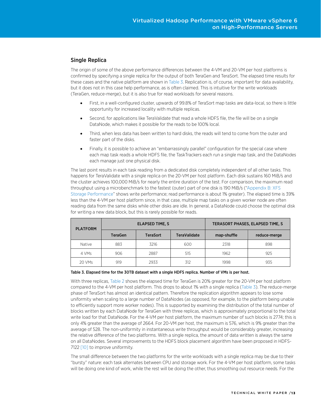### <span id="page-12-0"></span>Single Replica

The origin of some of the above performance differences between the 4-VM and 20-VM per host platforms is confirmed by specifying a single replica for the output of both TeraGen and TeraSort. The elapsed time results for these cases and the native platform are shown i[n Table 3.](#page-12-1) Replication is, of course, important for data availability, but it does not in this case help performance, as is often claimed. This is intuitive for the write workloads (TeraGen, reduce-merge), but it is also true for read workloads for several reasons.

- First, in a well-configured cluster, upwards of 99.8% of TeraSort map tasks are data-local, so there is little opportunity for increased locality with multiple replicas.
- Second, for applications like TeraValidate that read a whole HDFS file, the file will be on a single DataNode, which makes it possible for the reads to be 100% local.
- Third, when less data has been written to hard disks, the reads will tend to come from the outer and faster part of the disks.
- Finally, it is possible to achieve an "embarrassingly parallel" configuration for the special case where each map task reads a whole HDFS file, the TaskTrackers each run a single map task, and the DataNodes each manage just one physical disk.

The last point results in each task reading from a dedicated disk completely independent of all other tasks. This happens for TeraValidate with a single replica on the 20-VM per host platform. Each disk sustains 160 MiB/s and the cluster achieves 100,000 MiB/s for nearly the entire duration of the test. For comparison, the maximum read throughput using a microbenchmark to the fastest (outer) part of one disk is 190 MiB/s (["Appendix B: XFS](#page-21-0)  [Storage Performance"](#page-21-0) shows write performance; read performance is about 1% greater). The elapsed time is 39% less than the 4-VM per host platform since, in that case, multiple map tasks on a given worker node are often reading data from the same disks while other disks are idle. In general, a DataNode could choose the optimal disk for writing a new data block, but this is rarely possible for reads.

| <b>PLATFORM</b> |                | <b>ELAPSED TIME, S</b> | TERASORT PHASES, ELAPSED TIME, S |             |              |
|-----------------|----------------|------------------------|----------------------------------|-------------|--------------|
|                 | <b>TeraGen</b> | <b>TeraSort</b>        | <b>TeraValidate</b>              | map-shuffle | reduce-merge |
| Native          | 883            | 3216                   | 600                              | 2318        | 898          |
| 4 VMs           | 906            | 2887                   | 515                              | 1962        | 925          |
| 20 VMs          | 919            | 2933                   | 312                              | 1998        | 935          |

#### <span id="page-12-1"></span>Table 3. Elapsed time for the 30TB dataset with a single HDFS replica. Number of VMs is per host.

With three replicas[, Table 2](#page-9-2) shows the elapsed time for TeraGen is 20% greater for the 20-VM per host platform compared to the 4-VM per host platform. This drops to about 1% with a single replica [\(Table 3\)](#page-12-1). The reduce-merge phase of TeraSort has almost an identical pattern. Therefore the replication algorithm appears to lose some uniformity when scaling to a large number of DataNodes (as opposed, for example, to the platform being unable to efficiently support more worker nodes). This is supported by examining the distribution of the total number of blocks written by each DataNode for TeraGen with three replicas, which is approximately proportional to the total write load for that DataNode. For the 4-VM per host platform, the maximum number of such blocks is 2774; this is only 4% greater than the average of 2664. For 20-VM per host, the maximum is 576, which is 9% greater than the average of 528. The non-uniformity in instantaneous write throughput would be considerably greater, increasing the relative difference of the two platforms. With a single replica, the amount of data written is always the same on all DataNodes. Several improvements to the HDFS block placement algorithm have been proposed in HDFS-712[2 \[10\]](#page-22-0) to improve uniformity.

The small difference between the two platforms for the write workloads with a single replica may be due to their "bursty" nature: each task alternates between CPU and storage work. For the 4-VM per host platform, some tasks will be doing one kind of work, while the rest will be doing the other, thus smoothing out resource needs. For the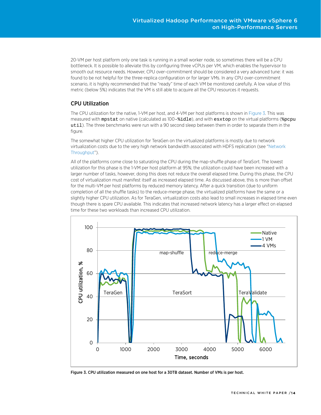20-VM per host platform only one task is running in a small worker node, so sometimes there will be a CPU bottleneck. It is possible to alleviate this by configuring three vCPUs per VM, which enables the hypervisor to smooth out resource needs. However, CPU over-commitment should be considered a very advanced tune: it was found to be not helpful for the three-replica configuration or for larger VMs. In any CPU over-commitment scenario, it is highly recommended that the "ready" time of each VM be monitored carefully. A low value of this metric (below 5%) indicates that the VM is still able to acquire all the CPU resources it requests.

### <span id="page-13-0"></span>CPU Utilization

The CPU utilization for the native, 1-VM per host, and 4-VM per host platforms is shown in [Figure 3.](#page-13-1) This was measured with mpstat on native (calculated as 100-%idle), and with esxtop on the virtual platforms (%pcpu util). The three benchmarks were run with a 90 second sleep between them in order to separate them in the figure.

The somewhat higher CPU utilization for TeraGen on the virtualized platforms is mostly due to network virtualization costs due to the very high network bandwidth associated with HDFS replication (see ["Network](#page-15-0)  [Throughput"](#page-15-0)).

All of the platforms come close to saturating the CPU during the map-shuffle phase of TeraSort. The lowest utilization for this phase is the 1-VM per host platform at 95%; the utilization could have been increased with a larger number of tasks, however, doing this does not reduce the overall elapsed time. During this phase, the CPU cost of virtualization must manifest itself as increased elapsed time. As discussed above, this is more than offset for the multi-VM per host platforms by reduced memory latency. After a quick transition (due to uniform completion of all the shuffle tasks) to the reduce-merge phase, the virtualized platforms have the same or a slightly higher CPU utilization. As for TeraGen, virtualization costs also lead to small increases in elapsed time even though there is spare CPU available. This indicates that increased network latency has a larger effect on elapsed time for these two workloads than increased CPU utilization.



<span id="page-13-1"></span>Figure 3. CPU utilization measured on one host for a 30TB dataset. Number of VMs is per host.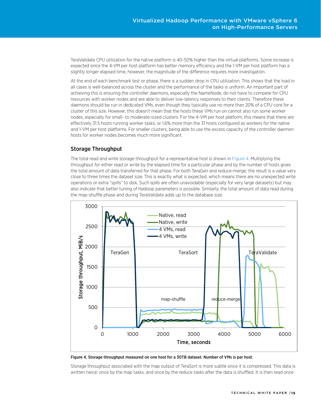TeraValidate CPU utilization for the native platform is 40-50% higher than the virtual platforms. Some increase is expected since the 4-VM per host platform has better memory efficiency and the 1-VM per host platform has a slightly longer elapsed time, however, the magnitude of the difference requires more investigation.

At the end of each benchmark test or phase, there is a sudden drop in CPU utilization. This shows that the load in all cases is well-balanced across the cluster and the performance of the tasks is uniform. An important part of achieving this is ensuring the controller daemons, especially the NameNode, do not have to compete for CPU resources with worker nodes and are able to deliver low-latency responses to their clients. Therefore these daemons should be run in dedicated VMs, even though they typically use no more than 20% of a CPU core for a cluster of this size. However, this doesn't mean that the hosts these VMs run on cannot also run some worker nodes, especially for small- to moderate-sized clusters. For the 4-VM per host platform, this means that there are effectively 31.5 hosts running worker tasks, or 1.6% more than the 31 hosts configured as workers for the native and 1-VM per host platforms. For smaller clusters, being able to use the excess capacity of the controller daemon hosts for worker nodes becomes much more significant.

### <span id="page-14-0"></span>Storage Throughput

The total read and write storage throughput for a representative host is shown in [Figure 4.](#page-14-1) Multiplying the throughput for either read or write by the elapsed time for a particular phase and by the number of hosts gives the total amount of data transferred for that phase. For both TeraGen and reduce-merge, the result is a value very close to three times the dataset size. This is exactly what is expected, which means there are no unexpected write operations or extra "spills" to disk. Such spills are often unavoidable (especially for very large datasets) but may also indicate that better tuning of Hadoop parameters is possible. Similarly, the total amount of data read during the map-shuffle phase and during TeraValidate adds up to the database size.



<span id="page-14-1"></span>Figure 4. Storage throughput measured on one host for a 30TB dataset. Number of VMs is per host.

Storage throughput associated with the map output of TeraSort is more subtle since it is compressed. This data is written twice: once by the map tasks, and once by the reduce tasks after the data is shuffled. It is then read once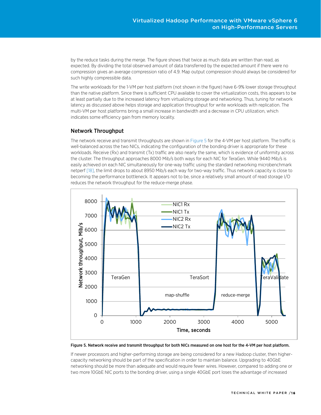by the reduce tasks during the merge. The figure shows that twice as much data are written than read, as expected. By dividing the total observed amount of data transferred by the expected amount if there were no compression gives an average compression ratio of 4.9. Map output compression should always be considered for such highly compressible data.

The write workloads for the 1-VM per host platform (not shown in the figure) have 6-9% lower storage throughput than the native platform. Since there is sufficient CPU available to cover the virtualization costs, this appears to be at least partially due to the increased latency from virtualizing storage and networking. Thus, tuning for network latency as discussed above helps storage and application throughput for write workloads with replication. The multi-VM per host platforms bring a small increase in bandwidth and a decrease in CPU utilization, which indicates some efficiency gain from memory locality.

### <span id="page-15-0"></span>Network Throughput

The network receive and transmit throughputs are shown i[n Figure 5](#page-15-1) for the 4-VM per host platform. The traffic is well-balanced across the two NICs, indicating the configuration of the bonding driver is appropriate for these workloads. Receive (Rx) and transmit (Tx) traffic are also nearly the same, which is evidence of uniformity across the cluster. The throughput approaches 8000 Mib/s both ways for each NIC for TeraGen. While 9440 Mib/s is easily achieved on each NIC simultaneously for one-way traffic using the standard networking microbenchmark netperf [\[18\],](#page-22-0) the limit drops to about 8950 Mib/s each way for two-way traffic. Thus network capacity is close to becoming the performance bottleneck. It appears not to be, since a relatively small amount of read storage I/O reduces the network throughput for the reduce-merge phase.



<span id="page-15-1"></span>Figure 5. Network receive and transmit throughput for both NICs measured on one host for the 4-VM per host platform.

If newer processors and higher-performing storage are being considered for a new Hadoop cluster, then highercapacity networking should be part of the specification in order to maintain balance. Upgrading to 40GbE networking should be more than adequate and would require fewer wires. However, compared to adding one or two more 10GbE NIC ports to the bonding driver, using a single 40GbE port loses the advantage of increased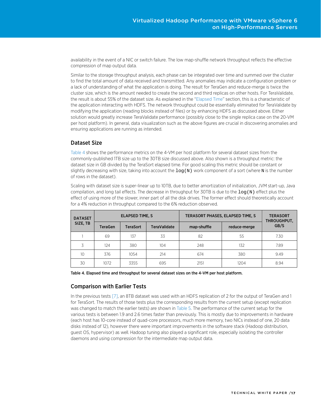availability in the event of a NIC or switch failure. The low map-shuffle network throughput reflects the effective compression of map output data.

Similar to the storage throughput analysis, each phase can be integrated over time and summed over the cluster to find the total amount of data received and transmitted. Any anomalies may indicate a configuration problem or a lack of understanding of what the application is doing. The result for TeraGen and reduce-merge is twice the cluster size, which is the amount needed to create the second and third replicas on other hosts. For TeraValidate, the result is about 55% of the dataset size. As explained in the ["Elapsed Time"](#page-9-1) section, this is a characteristic of the application interacting with HDFS. The network throughput could be essentially eliminated for TeraValidate by modifying the application (reading blocks instead of files) or by enhancing HDFS as discussed above. Either solution would greatly increase TeraValidate performance (possibly close to the single replica case on the 20-VM per host platform). In general, data visualization such as the above figures are crucial in discovering anomalies and ensuring applications are running as intended.

#### <span id="page-16-0"></span>Dataset Size

[Table 4](#page-16-2) shows the performance metrics on the 4-VM per host platform for several dataset sizes from the commonly-published 1TB size up to the 30TB size discussed above. Also shown is a throughput metric: the dataset size in GB divided by the TeraSort elapsed time. For good scaling this metric should be constant or slightly decreasing with size, taking into account the  $log(N)$  work component of a sort (where N is the number of rows in the dataset).

Scaling with dataset size is super-linear up to 10TB, due to better amortization of initialization, JVM start-up, Java compilation, and long tail effects. The decrease in throughput for 30TB is due to the log(N) effect plus the effect of using more of the slower, inner part of all the disk drives. The former effect should theoretically account for a 4% reduction in throughput compared to the 6% reduction observed.

| <b>DATASET</b>  | <b>ELAPSED TIME, S</b> |                 |                     | TERASORT PHASES, ELAPSED TIME, S | <b>TERASORT</b><br>THROUGHPUT, |      |
|-----------------|------------------------|-----------------|---------------------|----------------------------------|--------------------------------|------|
| SIZE, TB        | <b>TeraGen</b>         | <b>TeraSort</b> | <b>TeraValidate</b> | map-shuffle                      | reduce-merge                   | GB/S |
|                 | 69                     | 137             | 33                  | 82                               | 55                             | 7.30 |
| 3               | 124                    | 380             | 104                 | 248                              | 132                            | 7.89 |
| 10 <sup>2</sup> | 376                    | 1054            | 214                 | 674                              | 380                            | 9.49 |
| 30              | 1072                   | 3355            | 695                 | 2151                             | 1204                           | 8.94 |

<span id="page-16-2"></span>Table 4. Elapsed time and throughput for several dataset sizes on the 4-VM per host platform.

#### <span id="page-16-1"></span>Comparison with Earlier Tests

In the previous tests [\[7\],](#page-22-0) an 8TB dataset was used with an HDFS replication of 2 for the output of TeraGen and 1 for TeraSort. The results of those tests plus the corresponding results from the current setup (except replication was changed to match the earlier tests) are shown in [Table](#page-17-1) 5. The performance of the current setup for the various tests is between 1.9 and 2.6 times faster than previously. This is mostly due to improvements in hardware (each host has 10-core instead of quad-core processors, much more memory, two NICs instead of one, 20 data disks instead of 12), however there were important improvements in the software stack (Hadoop distribution, guest OS, hypervisor) as well. Hadoop tuning also played a significant role, especially isolating the controller daemons and using compression for the intermediate map output data.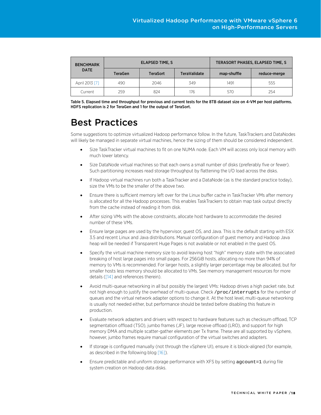| <b>BENCHMARK</b> |                | <b>ELAPSED TIME, S</b> | TERASORT PHASES, ELAPSED TIME, S |             |              |
|------------------|----------------|------------------------|----------------------------------|-------------|--------------|
| <b>DATE</b>      | <b>TeraGen</b> | <b>TeraSort</b>        | <b>TeraValidate</b>              | map-shuffle | reduce-merge |
| April 2013 [7]   | 490            | 2046                   | 349                              | 1491        | 555          |
| Current          | 259            | 824                    | 176                              | 570         | 254          |

<span id="page-17-1"></span>Table 5. Elapsed time and throughput for previous and current tests for the 8TB dataset size on 4-VM per host platforms. HDFS replication is 2 for TeraGen and 1 for the output of TeraSort.

# <span id="page-17-0"></span>Best Practices

Some suggestions to optimize virtualized Hadoop performance follow. In the future, TaskTrackers and DataNodes will likely be managed in separate virtual machines, hence the sizing of them should be considered independent.

- Size TaskTracker virtual machines to fit on one NUMA node. Each VM will access only local memory with much lower latency.
- Size DataNode virtual machines so that each owns a small number of disks (preferably five or fewer). Such partitioning increases read storage throughput by flattening the I/O load across the disks.
- If Hadoop virtual machines run both a TaskTracker and a DataNode (as is the standard practice today), size the VMs to be the smaller of the above two.
- Ensure there is sufficient memory left over for the Linux buffer cache in TaskTracker VMs after memory is allocated for all the Hadoop processes. This enables TaskTrackers to obtain map task output directly from the cache instead of reading it from disk.
- After sizing VMs with the above constraints, allocate host hardware to accommodate the desired number of these VMs.
- Ensure large pages are used by the hypervisor, guest OS, and Java. This is the default starting with ESX 3.5 and recent Linux and Java distributions. Manual configuration of guest memory and Hadoop Java heap will be needed if Transparent Huge Pages is not available or not enabled in the guest OS.
- Specify the virtual machine memory size to avoid leaving host "high" memory state with the associated breaking of host large pages into small pages. For 256GiB hosts, allocating no more than 94% of memory to VMs is recommended. For larger hosts, a slightly larger percentage may be allocated, but for smaller hosts less memory should be allocated to VMs. See memory management resources for more details [\(\[14\]](#page-22-0) and references therein).
- Avoid multi-queue networking in all but possibly the largest VMs: Hadoop drives a high packet rate, but not high enough to justify the overhead of multi-queue. Check /proc/interrupts for the number of queues and the virtual network adapter options to change it. At the host level, multi-queue networking is usually not needed either, but performance should be tested before disabling this feature in production.
- Evaluate network adapters and drivers with respect to hardware features such as checksum offload, TCP segmentation offload (TSO), jumbo frames (JF), large receive offload (LRO), and support for high memory DMA and multiple scatter-gather elements per Tx frame. These are all supported by vSphere, however, jumbo frames require manual configuration of the virtual switches and adapters.
- If storage is configured manually (not through the vSphere UI), ensure it is block-aligned (for example, as described in the following blog [\[16\]\)](#page-22-0).
- Ensure predictable and uniform storage performance with XFS by setting agcount=1 during file system creation on Hadoop data disks.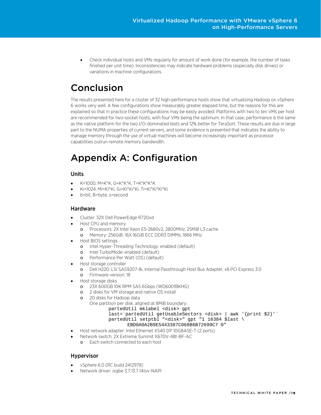• Check individual hosts and VMs regularly for amount of work done (for example, the number of tasks finished per unit time). Inconsistencies may indicate hardware problems (especially disk drives) or variations in machine configurations.

# <span id="page-18-0"></span>Conclusion

The results presented here for a cluster of 32 high-performance hosts show that virtualizing Hadoop on vSphere 6 works very well. A few configurations show measurably greater elapsed time, but the reasons for this are explained so that in practice these configurations may be easily avoided. Platforms with two to ten VMs per host are recommended for two-socket hosts, with four VMs being the optimum. In that case, performance is the same as the native platform for the two I/O-dominated tests and 12% better for TeraSort. These results are due in large part to the NUMA properties of current servers, and some evidence is presented that indicates the ability to manage memory through the use of virtual machines will become increasingly important as processor capabilities outrun remote memory bandwidth.

# <span id="page-18-1"></span>Appendix A: Configuration

### <span id="page-18-2"></span>Units

- K=1000, M=K\*K, G=K\*K\*K, T=K\*K\*K\*K
- Ki=1024, Mi=Ki\*Ki, Gi=Ki\*Ki\*Ki, Ti=Ki\*Ki\*Ki\*Ki
- <span id="page-18-3"></span>• b=bit, B=byte, s=second

### Hardware

- Cluster: 32X Dell PowerEdge R720xd
- Host CPU and memory
	- o Processors: 2X Intel Xeon E5-2680v2, 2800MHz, 25MiB L3 cache
	- o Memory: 256GiB: 16X 16GiB ECC DDR3 DIMMs, 1866 MHz
- Host BIOS settings
	- o Intel Hyper-Threading Technology: enabled (default)
	- o Intel TurboMode: enabled (default)
	- o Performance Per Watt (OS) (default)
- Host storage controller
	- o Dell H220: LSI SAS9207-8i, Internal Passthrough Host Bus Adapter, x8 PCI Express 3.0
	- o Firmware version: 18
- Host storage disks
	- o 23X 600GB 10K RPM SAS 6Gbps (WD6001BKHG)
	- o 2 disks for VM storage and native OS install
	- o 20 disks for Hadoop data
		- One partition per disk, aligned at 8MiB boundary:
			- partedUtil mklabel <disk> gpt
				- last=`partedUtil getUsableSectors <disk> | awk '{print \$2}'`
				- partedUtil setptbl "<disk>" gpt "1 16384 \$last \

#### EBD0A0A2B9E5443387C068B6B72699C7 0"

- Host network adapter: Intel Ethernet X540 DP 10GBASE-T (2 ports)
- Network switch: 2X Extreme Summit X670V-48t-BF-AC
	- o Each switch connected to each host

### <span id="page-18-4"></span>Hypervisor

- vSphere 6.0 (RC build 2412978)
- Network driver: ixgbe 3.7.13.7.14iov-NAPI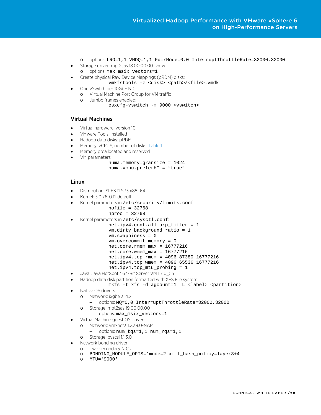- o options: LRO=1,1 VMDQ=1,1 FdirMode=0,0 InterruptThrottleRate=32000,32000
- Storage driver: mpt2sas 18.00.00.00.1vmw
- o options: max\_msix\_vectors=1
- Create physical Raw Device Mappings (pRDM) disks:
	- vmkfstools -z <disk> <path>/<file>.vmdk
- One vSwitch per 10GbE NIC
	- o Virtual Machine Port Group for VM traffic
	- o Jumbo frames enabled:
		- esxcfg-vswitch -m 9000 <vswitch>

#### <span id="page-19-0"></span>Virtual Machines

- Virtual hardware: version 10
- VMware Tools: installed
- Hadoop data disks: pRDM
- Memory, vCPUS, number of disks[: Table 1](#page-8-0)
- Memory preallocated and reserved
- VM parameters
	- numa.memory.gransize = 1024 numa.vcpu.preferHT = "true"

#### <span id="page-19-1"></span>Linux

- Distribution: SLES 11 SP3 x86 64
- Kernel: 3.0.76-0.11-default
- Kernel parameters in /etc/security/limits.conf:
	- nofile = 32768 nproc = 32768
- Kernel parameters in /etc/sysctl.conf:
	- net.ipv4.conf.all.arp\_filter = 1
		- vm.dirty\_background\_ratio = 1
		- vm.swappiness = 0
		- vm.overcommit\_memory = 0
		- net.core.rmem\_max = 16777216
		- net.core.wmem\_max = 16777216
		- net.ipv4.tcp\_rmem = 4096 87380 16777216 net.ipv4.tcp\_wmem = 4096 65536 16777216
	- net.ipv4.tcp\_mtu\_probing = 1
- Java: Java HotSpot™ 64-Bit Server VM 1.7.0\_55
- Hadoop data disk partition formatted with XFS File system
	- mkfs -t xfs -d agcount=1 -L <label> <partition>
- Native OS drivers
	- o Network: ixgbe 3.21.2
		- options: MQ=0,0 InterruptThrottleRate=32000,32000
		- o Storage: mpt2sas 19.00.00.00
			- options: max\_msix\_vectors=1
- Virtual Machine guest OS drivers
	- o Network: vmxnet3 1.2.39.0-NAPI
		- options: num\_tqs=1,1 num\_rqs=1,1
- o Storage: pvscsi 1.1.3.0
- Network bonding driver
	- o Two secondary NICs
	- o BONDING\_MODULE\_OPTS='mode=2 xmit\_hash\_policy=layer3+4'
	- o MTU='9000'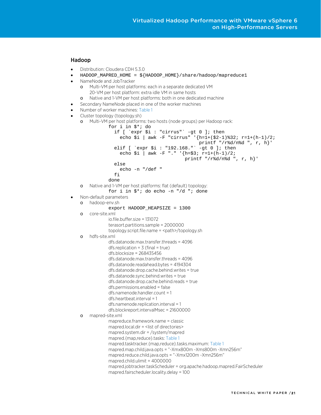#### <span id="page-20-0"></span>Hadoop

- Distribution: Cloudera CDH 5.3.0
- HADOOP\_MAPRED\_HOME = \${HADOOP\_HOME}/share/hadoop/mapreduce1
- NameNode and JobTracker
	- o Multi-VM per host platforms: each in a separate dedicated VM 20-VM per host platform: extra idle VM in same hosts
	- o Native and 1-VM per host platforms: both in one dedicated machine
- Secondary NameNode placed in one of the worker machines
- Number of worker machines[: Table 1](#page-8-0)
- Cluster topology (topology.sh)

```
o Multi-VM per host platforms: two hosts (node groups) per Hadoop rack:
```

```
for i in $*; do 
                    if [ `expr $i : "cirrus"` -gt 0 ]; then 
                       echo $i | awk -F "cirrus" '{h=1+($2-1)%32; r=1+(h-1)/2; 
                                                         printf "/r%d/n%d ", r, h}' 
                   elif [ 'expr $i : "192.168." ` -gt 0 ]; then
                      echo \sin | awk -F "." '{h=\sin; r=1+(h-1)/2;
                                                   printf "/r%d/n%d ", r, h}' 
                    else 
                       echo -n "/def " 
                    fi 
                 done
    o Native and 1-VM per host platforms: flat (default) topology:
                 for i in $*; do echo -n "/d "; done 
• Non-default parameters
    o hadoop-env.sh
                 export HADOOP_HEAPSIZE = 1300 
    o core-site.xml
                 io.file.buffer.size = 131072
                 terasort.partitions.sample = 2000000
                 topology.script.file.name = <path>/topology.sh
    o hdfs-site.xml
                 dfs.datanode.max.transfer.threads = 4096
                 dfs replication = 3 (final = true)
                 dfs.blocksize = 268435456
                 dfs.datanode.max.transfer.threads = 4096
                 dfs.datanode.readahead.bytes = 4194304
                 dfs.datanode.drop.cache.behind.writes = true 
                 dfs.datanode.sync.behind.writes = true 
                 dfs.datanode.drop.cache.behind.reads = true 
                 dfs.permissions.enabled = false
                 dfs.namenode.handler.count = 1
                 dfs.heartbeat.interval = 1
                 dfs.namenode.replication.interval = 1
                 dfs.blockreport.intervalMsec = 21600000
    o mapred-site.xml
                 mapreduce.framework.name = classic
                 mapred.local.dir = <list of directories>
                 mapred.system.dir = /system/mapred 
                 mapred.{map,reduce}.tasks: Table 1
                 mapred.tasktracker.{map,reduce}.tasks.maximum: Table 1
                 mapred.map.child.java.opts = "-Xmx800m -Xms800m -Xmn256m"
                 mapred.reduce.child.java.opts = "-Xmx1200m -Xmn256m"
                 mapred.child.ulimit = 4000000
                 mapred.jobtracker.taskScheduler = org.apache.hadoop.mapred.FairScheduler 
                 mapred.fairscheduler.locality.delay = 100
```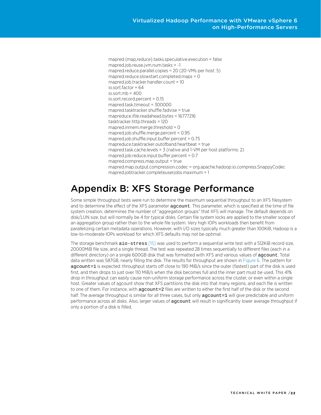mapred.{map,reduce}.tasks.speculative.execution = false mapred.job.reuse.jvm.num.tasks = -1 mapred.reduce.parallel.copies = 20 (20-VMs per host: 5) mapred.reduce.slowstart.completed.maps = 0 mapred.job.tracker.handler.count = 10 io.sort.factor = 64  $in sort$  mb =  $400$ io.sort.record.percent = 0.15 mapred.task.timeout = 300000 mapred.tasktracker.shuffle.fadvise = true mapreduce.ifile.readahead.bytes = 16777216 tasktracker.http.threads = 120 mapred.inmem.merge.threshold = 0 mapred.job.shuffle.merge.percent = 0.95 mapred.job.shuffle.input.buffer.percent = 0.75 mapreduce.tasktracker.outofband.heartbeat = true mapred.task.cache.levels = 3 (native and 1-VM per host platforms: 2) mapred.job.reduce.input.buffer.percent = 0.7 mapred.compress.map.output = true mapred.map.output.compression.codec = org.apache.hadoop.io.compress.SnappyCodec mapred.jobtracker.completeuserjobs.maximum = 1

# <span id="page-21-0"></span>Appendix B: XFS Storage Performance

Some simple throughput tests were run to determine the maximum sequential throughput to an XFS filesystem and to determine the effect of the XFS parameter agcount. This parameter, which is specified at the time of file system creation, determines the number of "aggregation groups" that XFS will manage. The default depends on disk/LUN size, but will normally be 4 for typical disks. Certain file system locks are applied to the smaller scope of an aggregation group rather than to the whole file system. Very high IOPs workloads then benefit from parallelizing certain metadata operations. However, with I/O sizes typically much greater than 100KiB, Hadoop is a low-to-moderate IOPs workload for which XFS defaults may not be optimal.

The storage benchmark aio-stress [\[15\]](#page-22-0) was used to perform a sequential write test with a 512KiB record size, 20000MiB file size, and a single thread. The test was repeated 28 times sequentially to different files (each in a different directory) on a single 600GB disk that was formatted with XFS and various values of agcount. Total data written was 587GB, nearly filling the disk. The results for throughput are shown in [Figure 6.](#page-22-1) The pattern for agcount=1 is expected: throughput starts off close to 190 MiB/s since the outer (fastest) part of the disk is used first, and then drops to just over 110 MiB/s when the disk becomes full and the inner part must be used. This 41% drop in throughput can easily cause non-uniform storage performance across the cluster, or even within a single host. Greater values of agcount show that XFS partitions the disk into that many regions, and each file is written to one of them. For instance, with agcount=2 files are written to either the first half of the disk or the second half. The average throughput is similar for all three cases, but only agcount=1 will give predictable and uniform performance across all disks. Also, larger values of agcount will result in significantly lower average throughput if only a portion of a disk is filled.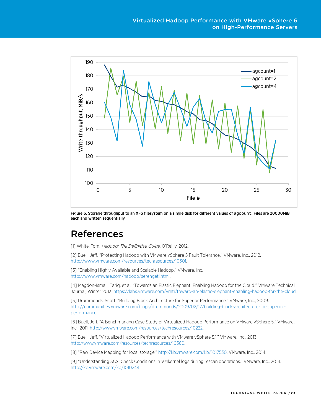

<span id="page-22-1"></span>Figure 6. Storage throughput to an XFS filesystem on a single disk for different values of agcount. Files are 20000MiB each and written sequentially.

# <span id="page-22-0"></span>References

[1] White, Tom. Hadoop: The Definitive Guide. O'Reilly, 2012.

[2] Buell, Jeff. "Protecting Hadoop with VMware vSphere 5 Fault Tolerance." VMware, Inc., 2012. [http://www.vmware.com/resources/techresources/10301.](http://www.vmware.com/resources/techresources/10301)

[3] "Enabling Highly Available and Scalable Hadoop." VMware, Inc. [http://www.vmware.com/hadoop/serengeti.html.](http://www.vmware.com/hadoop/serengeti.html)

[4] Magdon-Ismail, Tariq, et al. "Towards an Elastic Elephant: Enabling Hadoop for the Cloud." VMware Technical Journal, Winter 2013[. https://labs.vmware.com/vmtj/toward-an-elastic-elephant-enabling-hadoop-for-the-cloud.](https://labs.vmware.com/vmtj/toward-an-elastic-elephant-enabling-hadoop-for-the-cloud)

[5] Drummonds, Scott. "Building Block Architecture for Superior Performance." VMware, Inc., 2009. [http://communities.vmware.com/blogs/drummonds/2009/02/17/building-block-architecture-for-superior](http://communities.vmware.com/blogs/drummonds/2009/02/17/building-block-architecture-for-superior-performance)[performance.](http://communities.vmware.com/blogs/drummonds/2009/02/17/building-block-architecture-for-superior-performance)

[6] Buell, Jeff. "A Benchmarking Case Study of Virtualized Hadoop Performance on VMware vSphere 5." VMware, Inc., 2011[. http://www.vmware.com/resources/techresources/10222.](http://www.vmware.com/resources/techresources/10222)

[7] Buell, Jeff. "Virtualized Hadoop Performance with VMware vSphere 5.1." VMware, Inc., 2013. [http://www.vmware.com/resources/techresources/10360.](http://www.vmware.com/resources/techresources/10360) 

[8] "Raw Device Mapping for local storage." [http://kb.vmware.com/kb/1017530.](http://kb.vmware.com/kb/1017530) VMware, Inc., 2014.

[9] "Understanding SCSI Check Conditions in VMkernel logs during rescan operations." VMware, Inc., 2014. [http://kb.vmware.com/kb/1010244.](http://kb.vmware.com/kb/1010244)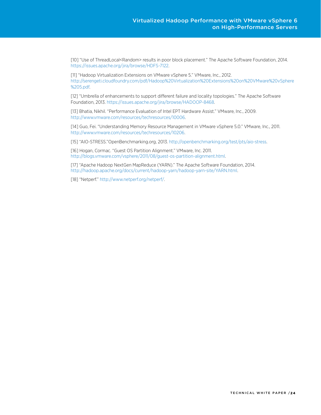[10] "Use of ThreadLocal<Random> results in poor block placement." The Apache Software Foundation, 2014. [https://issues.apache.org/jira/browse/HDFS-7122.](https://issues.apache.org/jira/browse/HDFS-7122)

[11] "Hadoop Virtualization Extensions on VMware vSphere 5." VMware, Inc., 2012. [http://serengeti.cloudfoundry.com/pdf/Hadoop%20Virtualization%20Extensions%20on%20VMware%20vSphere](http://serengeti.cloudfoundry.com/pdf/Hadoop%20Virtualization%20Extensions%20on%20VMware%20vSphere%205.pdf) [%205.pdf.](http://serengeti.cloudfoundry.com/pdf/Hadoop%20Virtualization%20Extensions%20on%20VMware%20vSphere%205.pdf)

[12] "Umbrella of enhancements to support different failure and locality topologies." The Apache Software Foundation, 2013. [https://issues.apache.org/jira/browse/HADOOP-8468.](https://issues.apache.org/jira/browse/HADOOP-8468)

[13] Bhatia, Nikhil. "Performance Evaluation of Intel EPT Hardware Assist." VMware, Inc., 2009. [http://www.vmware.com/resources/techresources/10006.](http://www.vmware.com/resources/techresources/10006)

[14] Guo, Fei. "Understanding Memory Resource Management in VMware vSphere 5.0." VMware, Inc., 2011. [http://www.vmware.com/resources/techresources/10206.](http://www.vmware.com/resources/techresources/10206)

[15] "AIO-STRESS."OpenBenchmarking.org, 2013. [http://openbenchmarking.org/test/pts/aio-stress.](http://openbenchmarking.org/test/pts/aio-stress)

[16] Hogan, Cormac. "Guest OS Partition Alignment." VMware, Inc. 2011. [http://blogs.vmware.com/vsphere/2011/08/guest-os-partition-alignment.html.](http://blogs.vmware.com/vsphere/2011/08/guest-os-partition-alignment.html)

[17] "Apache Hadoop NextGen MapReduce (YARN)." The Apache Software Foundation, 2014. [http://hadoop.apache.org/docs/current/hadoop-yarn/hadoop-yarn-site/YARN.html.](http://hadoop.apache.org/docs/current/hadoop-yarn/hadoop-yarn-site/YARN.html)

[18] "Netperf.[" http://www.netperf.org/netperf/.](http://www.netperf.org/netperf/)